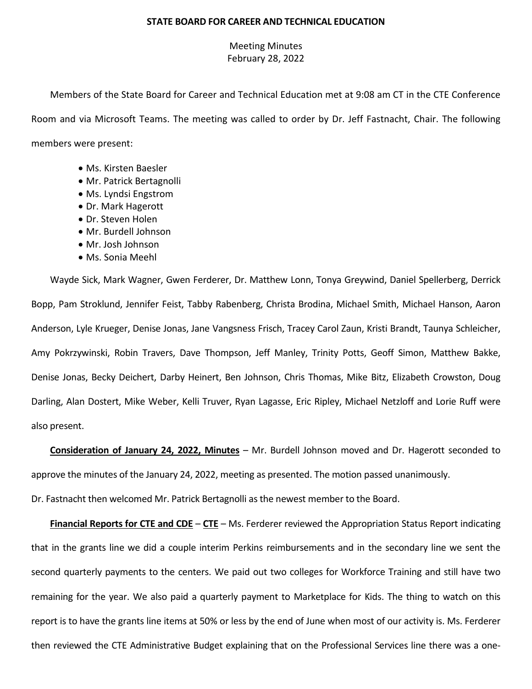## **STATE BOARD FOR CAREER AND TECHNICAL EDUCATION**

## Meeting Minutes February 28, 2022

Members of the State Board for Career and Technical Education met at 9:08 am CT in the CTE Conference Room and via Microsoft Teams. The meeting was called to order by Dr. Jeff Fastnacht, Chair. The following members were present:

- Ms. Kirsten Baesler
- Mr. Patrick Bertagnolli
- Ms. Lyndsi Engstrom
- Dr. Mark Hagerott
- Dr. Steven Holen
- Mr. Burdell Johnson
- Mr. Josh Johnson
- Ms. Sonia Meehl

Wayde Sick, Mark Wagner, Gwen Ferderer, Dr. Matthew Lonn, Tonya Greywind, Daniel Spellerberg, Derrick Bopp, Pam Stroklund, Jennifer Feist, Tabby Rabenberg, Christa Brodina, Michael Smith, Michael Hanson, Aaron Anderson, Lyle Krueger, Denise Jonas, Jane Vangsness Frisch, Tracey Carol Zaun, Kristi Brandt, Taunya Schleicher, Amy Pokrzywinski, Robin Travers, Dave Thompson, Jeff Manley, Trinity Potts, Geoff Simon, Matthew Bakke, Denise Jonas, Becky Deichert, Darby Heinert, Ben Johnson, Chris Thomas, Mike Bitz, Elizabeth Crowston, Doug Darling, Alan Dostert, Mike Weber, Kelli Truver, Ryan Lagasse, Eric Ripley, Michael Netzloff and Lorie Ruff were also present.

**Consideration of January 24, 2022, Minutes** – Mr. Burdell Johnson moved and Dr. Hagerott seconded to approve the minutes of the January 24, 2022, meeting as presented. The motion passed unanimously.

Dr. Fastnacht then welcomed Mr. Patrick Bertagnolli as the newest member to the Board.

**Financial Reports for CTE and CDE** – **CTE** – Ms. Ferderer reviewed the Appropriation Status Report indicating that in the grants line we did a couple interim Perkins reimbursements and in the secondary line we sent the second quarterly payments to the centers. We paid out two colleges for Workforce Training and still have two remaining for the year. We also paid a quarterly payment to Marketplace for Kids. The thing to watch on this report is to have the grants line items at 50% or less by the end of June when most of our activity is. Ms. Ferderer then reviewed the CTE Administrative Budget explaining that on the Professional Services line there was a one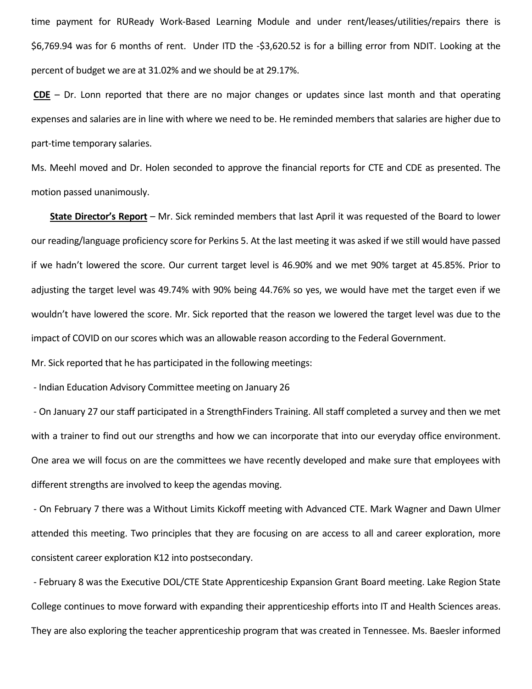time payment for RUReady Work-Based Learning Module and under rent/leases/utilities/repairs there is \$6,769.94 was for 6 months of rent. Under ITD the -\$3,620.52 is for a billing error from NDIT. Looking at the percent of budget we are at 31.02% and we should be at 29.17%.

**CDE** – Dr. Lonn reported that there are no major changes or updates since last month and that operating expenses and salaries are in line with where we need to be. He reminded members that salaries are higher due to part-time temporary salaries.

Ms. Meehl moved and Dr. Holen seconded to approve the financial reports for CTE and CDE as presented. The motion passed unanimously.

**State Director's Report** – Mr. Sick reminded members that last April it was requested of the Board to lower our reading/language proficiency score for Perkins 5. At the last meeting it was asked if we still would have passed if we hadn't lowered the score. Our current target level is 46.90% and we met 90% target at 45.85%. Prior to adjusting the target level was 49.74% with 90% being 44.76% so yes, we would have met the target even if we wouldn't have lowered the score. Mr. Sick reported that the reason we lowered the target level was due to the impact of COVID on our scores which was an allowable reason according to the Federal Government.

Mr. Sick reported that he has participated in the following meetings:

- Indian Education Advisory Committee meeting on January 26

- On January 27 our staff participated in a StrengthFinders Training. All staff completed a survey and then we met with a trainer to find out our strengths and how we can incorporate that into our everyday office environment. One area we will focus on are the committees we have recently developed and make sure that employees with different strengths are involved to keep the agendas moving.

- On February 7 there was a Without Limits Kickoff meeting with Advanced CTE. Mark Wagner and Dawn Ulmer attended this meeting. Two principles that they are focusing on are access to all and career exploration, more consistent career exploration K12 into postsecondary.

- February 8 was the Executive DOL/CTE State Apprenticeship Expansion Grant Board meeting. Lake Region State College continues to move forward with expanding their apprenticeship efforts into IT and Health Sciences areas. They are also exploring the teacher apprenticeship program that was created in Tennessee. Ms. Baesler informed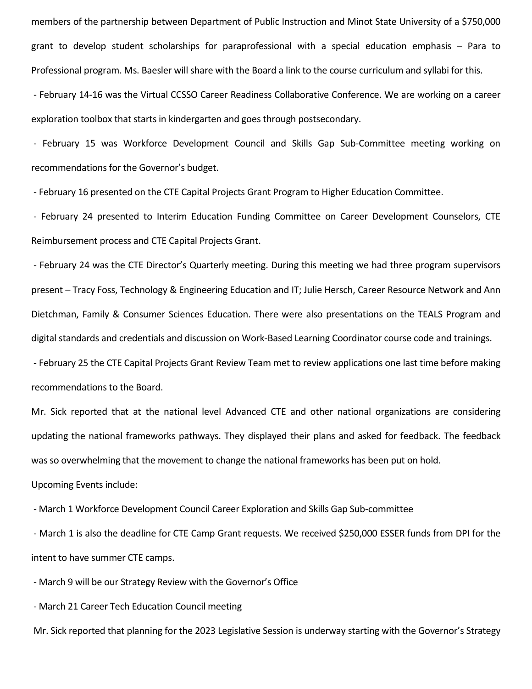members of the partnership between Department of Public Instruction and Minot State University of a \$750,000 grant to develop student scholarships for paraprofessional with a special education emphasis – Para to Professional program. Ms. Baesler will share with the Board a link to the course curriculum and syllabi for this.

- February 14-16 was the Virtual CCSSO Career Readiness Collaborative Conference. We are working on a career exploration toolbox that starts in kindergarten and goes through postsecondary.

- February 15 was Workforce Development Council and Skills Gap Sub-Committee meeting working on recommendations for the Governor's budget.

- February 16 presented on the CTE Capital Projects Grant Program to Higher Education Committee.

- February 24 presented to Interim Education Funding Committee on Career Development Counselors, CTE Reimbursement process and CTE Capital Projects Grant.

- February 24 was the CTE Director's Quarterly meeting. During this meeting we had three program supervisors present – Tracy Foss, Technology & Engineering Education and IT; Julie Hersch, Career Resource Network and Ann Dietchman, Family & Consumer Sciences Education. There were also presentations on the TEALS Program and digital standards and credentials and discussion on Work-Based Learning Coordinator course code and trainings. - February 25 the CTE Capital Projects Grant Review Team met to review applications one last time before making recommendations to the Board.

Mr. Sick reported that at the national level Advanced CTE and other national organizations are considering updating the national frameworks pathways. They displayed their plans and asked for feedback. The feedback was so overwhelming that the movement to change the national frameworks has been put on hold. Upcoming Events include:

- March 1 Workforce Development Council Career Exploration and Skills Gap Sub-committee

- March 1 is also the deadline for CTE Camp Grant requests. We received \$250,000 ESSER funds from DPI for the intent to have summer CTE camps.

- March 9 will be our Strategy Review with the Governor's Office

- March 21 Career Tech Education Council meeting

Mr. Sick reported that planning for the 2023 Legislative Session is underway starting with the Governor's Strategy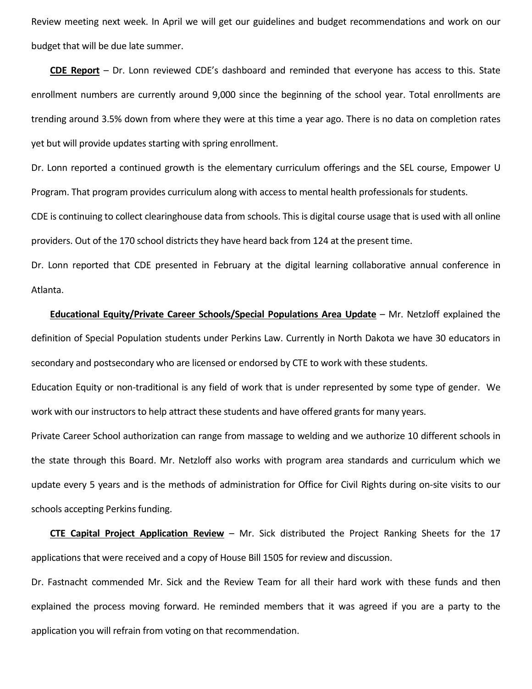Review meeting next week. In April we will get our guidelines and budget recommendations and work on our budget that will be due late summer.

**CDE Report** – Dr. Lonn reviewed CDE's dashboard and reminded that everyone has access to this. State enrollment numbers are currently around 9,000 since the beginning of the school year. Total enrollments are trending around 3.5% down from where they were at this time a year ago. There is no data on completion rates yet but will provide updates starting with spring enrollment.

Dr. Lonn reported a continued growth is the elementary curriculum offerings and the SEL course, Empower U Program. That program provides curriculum along with access to mental health professionals for students.

CDE is continuing to collect clearinghouse data from schools. This is digital course usage that is used with all online providers. Out of the 170 school districts they have heard back from 124 at the present time.

Dr. Lonn reported that CDE presented in February at the digital learning collaborative annual conference in Atlanta.

## **Educational Equity/Private Career Schools/Special Populations Area Update** – Mr. Netzloff explained the definition of Special Population students under Perkins Law. Currently in North Dakota we have 30 educators in secondary and postsecondary who are licensed or endorsed by CTE to work with these students.

Education Equity or non-traditional is any field of work that is under represented by some type of gender. We work with our instructors to help attract these students and have offered grants for many years.

Private Career School authorization can range from massage to welding and we authorize 10 different schools in the state through this Board. Mr. Netzloff also works with program area standards and curriculum which we update every 5 years and is the methods of administration for Office for Civil Rights during on-site visits to our schools accepting Perkins funding.

**CTE Capital Project Application Review** – Mr. Sick distributed the Project Ranking Sheets for the 17 applications that were received and a copy of House Bill 1505 for review and discussion.

Dr. Fastnacht commended Mr. Sick and the Review Team for all their hard work with these funds and then explained the process moving forward. He reminded members that it was agreed if you are a party to the application you will refrain from voting on that recommendation.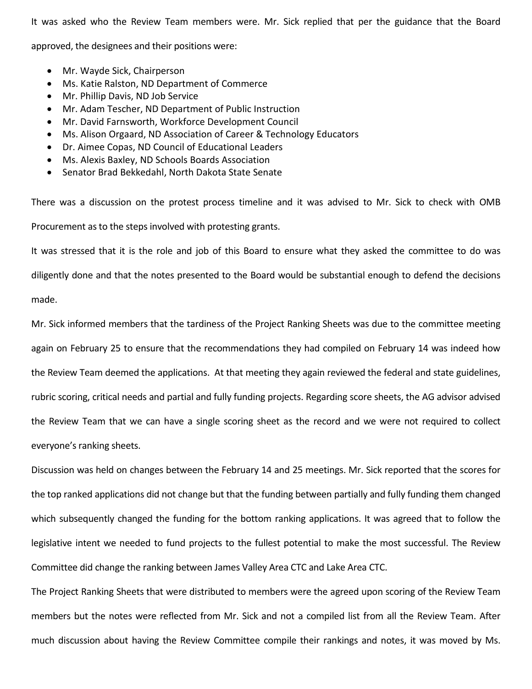It was asked who the Review Team members were. Mr. Sick replied that per the guidance that the Board

approved, the designees and their positions were:

- Mr. Wayde Sick, Chairperson
- Ms. Katie Ralston, ND Department of Commerce
- Mr. Phillip Davis, ND Job Service
- Mr. Adam Tescher, ND Department of Public Instruction
- Mr. David Farnsworth, Workforce Development Council
- Ms. Alison Orgaard, ND Association of Career & Technology Educators
- Dr. Aimee Copas, ND Council of Educational Leaders
- Ms. Alexis Baxley, ND Schools Boards Association
- Senator Brad Bekkedahl, North Dakota State Senate

There was a discussion on the protest process timeline and it was advised to Mr. Sick to check with OMB Procurement as to the steps involved with protesting grants.

It was stressed that it is the role and job of this Board to ensure what they asked the committee to do was diligently done and that the notes presented to the Board would be substantial enough to defend the decisions made.

Mr. Sick informed members that the tardiness of the Project Ranking Sheets was due to the committee meeting again on February 25 to ensure that the recommendations they had compiled on February 14 was indeed how the Review Team deemed the applications. At that meeting they again reviewed the federal and state guidelines, rubric scoring, critical needs and partial and fully funding projects. Regarding score sheets, the AG advisor advised the Review Team that we can have a single scoring sheet as the record and we were not required to collect everyone's ranking sheets.

Discussion was held on changes between the February 14 and 25 meetings. Mr. Sick reported that the scores for the top ranked applications did not change but that the funding between partially and fully funding them changed which subsequently changed the funding for the bottom ranking applications. It was agreed that to follow the legislative intent we needed to fund projects to the fullest potential to make the most successful. The Review Committee did change the ranking between James Valley Area CTC and Lake Area CTC.

The Project Ranking Sheets that were distributed to members were the agreed upon scoring of the Review Team members but the notes were reflected from Mr. Sick and not a compiled list from all the Review Team. After much discussion about having the Review Committee compile their rankings and notes, it was moved by Ms.